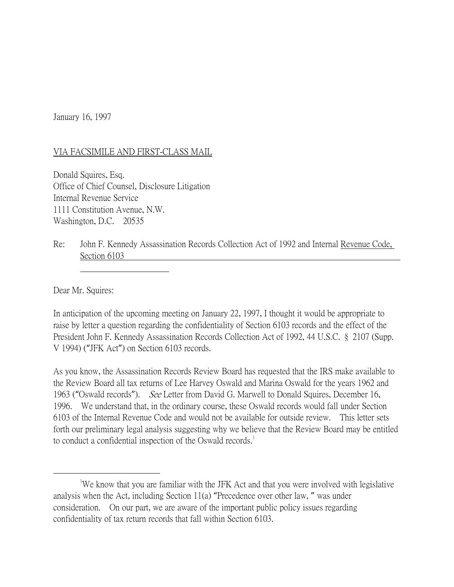January 16, 1997

## VIA FACSIMILE AND FIRST-CLASS MAIL

Donald Squires, Esq. Office of Chief Counsel, Disclosure Litigation Internal Revenue Service 1111 Constitution Avenue, N.W. Washington, D.C. 20535

## Re: John F. Kennedy Assassination Records Collection Act of 1992 and Internal Revenue Code, Section 6103

Dear Mr. Squires:

In anticipation of the upcoming meeting on January 22, 1997, I thought it would be appropriate to raise by letter a question regarding the confidentiality of Section 6103 records and the effect of the President John F. Kennedy Assassination Records Collection Act of 1992, 44 U.S.C. § 2107 (Supp. V 1994) ("JFK Act") on Section 6103 records.

As you know, the Assassination Records Review Board has requested that the IRS make available to the Review Board all tax returns of Lee Harvey Oswald and Marina Oswald for the years 1962 and 1963 ("Oswald records"). See Letter from David G. Marwell to Donald Squires, December 16, 1996. We understand that, in the ordinary course, these Oswald records would fall under Section 6103 of the Internal Revenue Code and would not be available for outside review. This letter sets forth our preliminary legal analysis suggesting why we believe that the Review Board may be entitled to conduct a confidential inspection of the Oswald records.<sup>[1](#page-0-0)</sup>

<span id="page-0-0"></span> $\overline{\phantom{a}}$ We know that you are familiar with the JFK Act and that you were involved with legislative analysis when the Act, including Section 11(a) "Precedence over other law, " was under consideration. On our part, we are aware of the important public policy issues regarding confidentiality of tax return records that fall within Section 6103.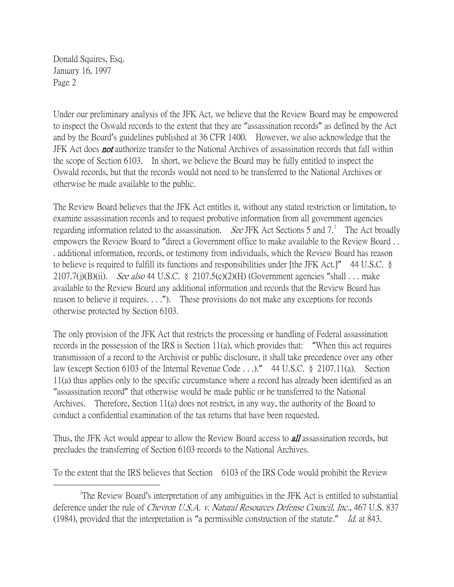Donald Squires, Esq. January 16, 1997 Page 2

Under our preliminary analysis of the JFK Act, we believe that the Review Board may be empowered to inspect the Oswald records to the extent that they are "assassination records" as defined by the Act and by the Board's guidelines published at 36 CFR 1400. However, we also acknowledge that the JFK Act does **not** authorize transfer to the National Archives of assassination records that fall within the scope of Section 6103. In short, we believe the Board may be fully entitled to inspect the Oswald records, but that the records would not need to be transferred to the National Archives or otherwise be made available to the public.

The Review Board believes that the JFK Act entitles it, without any stated restriction or limitation, to examine assassination records and to request probative information from all government agencies regarding information related to the assassination. *See* JFK Act Sections 5 and  $7<sup>2</sup>$  $7<sup>2</sup>$  $7<sup>2</sup>$  The Act broadly empowers the Review Board to "direct a Government office to make available to the Review Board . . . additional information, records, or testimony from individuals, which the Review Board has reason to believe is required to fulfill its functions and responsibilities under [the JFK Act.]" 44 U.S.C. § 2107.7(j)(B)(ii). See also 44 U.S.C. § 2107.5(c)(2)(H) (Government agencies "shall . . . make available to the Review Board any additional information and records that the Review Board has reason to believe it requires. . . ."). These provisions do not make any exceptions for records otherwise protected by Section 6103.

The only provision of the JFK Act that restricts the processing or handling of Federal assassination records in the possession of the IRS is Section 11(a), which provides that: "When this act requires transmission of a record to the Archivist or public disclosure, it shall take precedence over any other law (except Section 6103 of the Internal Revenue Code . . .)." 44 U.S.C. § 2107.11(a). Section 11(a) thus applies only to the specific circumstance where a record has already been identified as an "assassination record" that otherwise would be made public or be transferred to the National Archives. Therefore, Section 11(a) does not restrict, in any way, the authority of the Board to conduct a confidential examination of the tax returns that have been requested.

Thus, the JFK Act would appear to allow the Review Board access to **all** assassination records, but precludes the transferring of Section 6103 records to the National Archives.

To the extent that the IRS believes that Section 6103 of the IRS Code would prohibit the Review

<span id="page-1-0"></span> $\overline{\phantom{a}}$  2 <sup>2</sup>The Review Board's interpretation of any ambiguities in the JFK Act is entitled to substantial deference under the rule of *Chevron U.S.A. v. Natural Resources Defense Council, Inc.*, 467 U.S. 837 (1984), provided that the interpretation is "a permissible construction of the statute." Id. at 843.